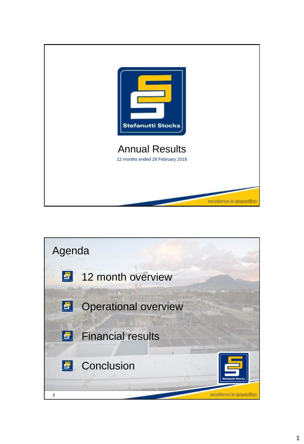

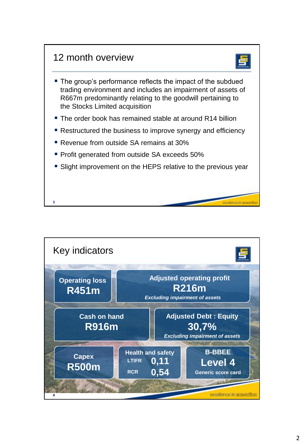

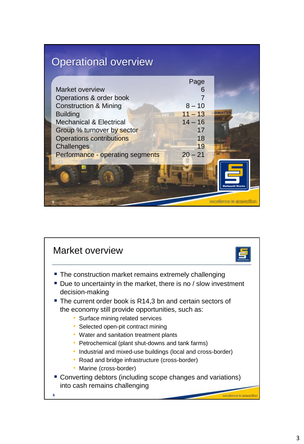# Operational overview

|                                    | Page      |  |
|------------------------------------|-----------|--|
| Market overview                    | 6         |  |
| Operations & order book            |           |  |
| <b>Construction &amp; Mining</b>   | $8 - 10$  |  |
| <b>Building</b>                    | $11 - 13$ |  |
| <b>Mechanical &amp; Electrical</b> | $14 - 16$ |  |
| Group % turnover by sector         | 17        |  |
| <b>Operations contributions</b>    | 18        |  |
| Challenges                         | 19        |  |
| Performance - operating segments   | $20 - 21$ |  |
|                                    |           |  |
|                                    |           |  |
|                                    |           |  |
|                                    |           |  |
|                                    |           |  |
|                                    |           |  |

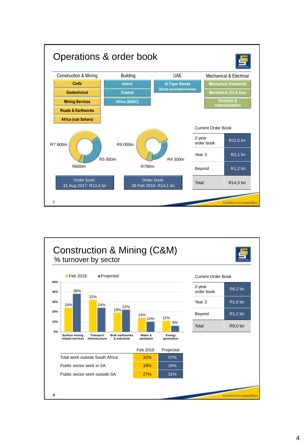

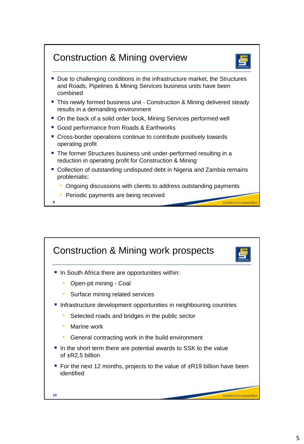## Construction & Mining overview



- Due to challenging conditions in the infrastructure market, the Structures and Roads, Pipelines & Mining Services business units have been combined
- **This newly formed business unit Construction & Mining delivered steady** results in a demanding environment
- On the back of a solid order book, Mining Services performed well
- Good performance from Roads & Earthworks
- Cross-border operations continue to contribute positively towards operating profit
- The former Structures business unit under-performed resulting in a reduction in operating profit for Construction & Mining
- Collection of outstanding undisputed debt in Nigeria and Zambia remains problematic:
	- Ongoing discussions with clients to address outstanding payments
	- Periodic payments are being received

**9**

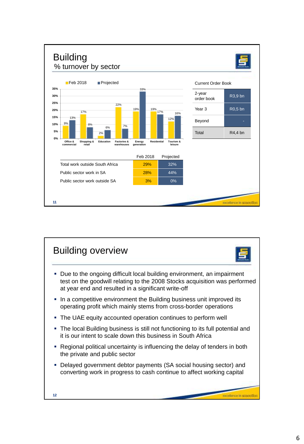

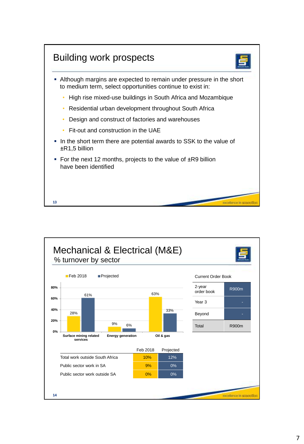

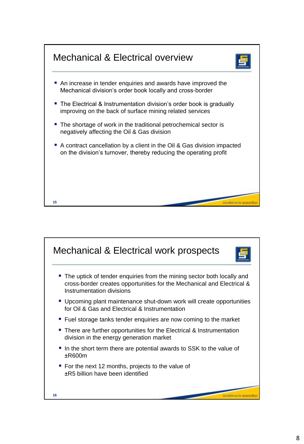

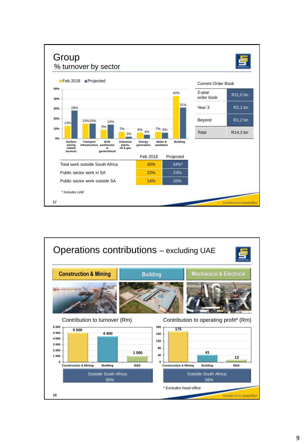

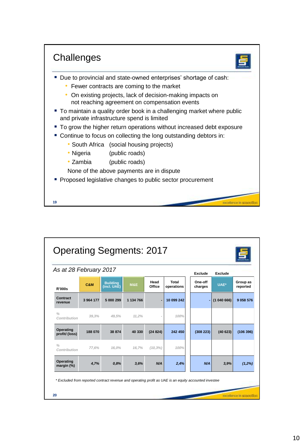

| As at 28 February 2017        |           |                                |           |                |                     | Exclude            | Exclude  |                      |
|-------------------------------|-----------|--------------------------------|-----------|----------------|---------------------|--------------------|----------|----------------------|
| <b>R'000s</b>                 | C&M       | <b>Building</b><br>(incl. UAE) | M&E       | Head<br>Office | Total<br>operations | One-off<br>charges | UAE*     | Group as<br>reported |
| Contract<br>revenue           | 3 964 177 | 5 000 299                      | 1 134 766 | $\blacksquare$ | 10 099 242          |                    | (104066) | 9 0 58 5 76          |
| $\frac{0}{0}$<br>Contribution | 39.3%     | 49.5%                          | 11.2%     |                | 100%                |                    |          |                      |
| Operating<br>profit/(loss)    | 188 070   | 38 874                         | 40 330    | (24824)        | 242 450             | (308 223)          | (40623)  | (106 396)            |
| $\frac{0}{0}$<br>Contribution | 77.6%     | 16.0%                          | 16.7%     | $(10, 3\%)$    | 100%                |                    |          |                      |
| Operating<br>margin (%)       | 4,7%      | 0.8%                           | 3,6%      | N/A            | 2,4%                | N/A                | 3,9%     | (1,2%)               |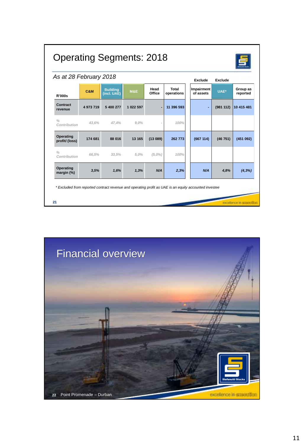| As at 28 February 2018        |           |                                |           |                |                            | <b>Exclude</b>          | Exclude  |                      |
|-------------------------------|-----------|--------------------------------|-----------|----------------|----------------------------|-------------------------|----------|----------------------|
| <b>R'000s</b>                 | C&M       | <b>Building</b><br>(incl. UAE) | M&E       | Head<br>Office | <b>Total</b><br>operations | Impairment<br>of assets | UAE*     | Group as<br>reported |
| Contract<br>revenue           | 4 973 719 | 5 400 277                      | 1 022 597 |                | 11 396 593                 | ä,                      | (981112) | 10 415 481           |
| $\frac{0}{0}$<br>Contribution | 43,6%     | 47,4%                          | 9,0%      |                | 100%                       |                         |          |                      |
| Operating<br>profit/(loss)    | 174 681   | 88 016                         | 13 165    | (13089)        | 262 773                    | (667 114)               | (46751)  | (451092)             |
| $\frac{0}{0}$<br>Contribution | 66.5%     | 33.5%                          | 5.0%      | $(5.0\%)$      | 100%                       |                         |          |                      |
| Operating<br>margin (%)       | 3,5%      | 1,6%                           | 1,3%      | N/A            | 2,3%                       | N/A                     | 4,8%     | $(4, 3\%)$           |

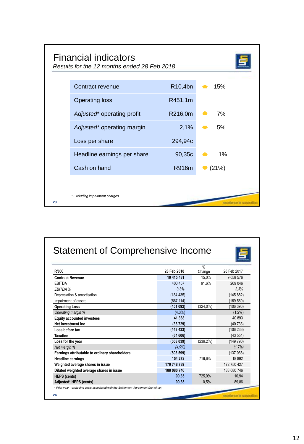|    | <b>Financial indicators</b><br>Results for the 12 months ended 28 Feb 2018 |         |                 |
|----|----------------------------------------------------------------------------|---------|-----------------|
|    | Contract revenue                                                           | R10,4bn | $\triangle$ 15% |
|    | <b>Operating loss</b>                                                      | R451,1m |                 |
|    | Adjusted* operating profit                                                 | R216,0m | 7%              |
|    | Adjusted* operating margin                                                 | 2,1%    | 5%              |
|    | Loss per share                                                             | 294,94c |                 |
|    | Headline earnings per share                                                | 90,35c  | $1\%$           |
|    | Cash on hand                                                               | R916m   | (21%)           |
|    |                                                                            |         |                 |
| 23 | * Excluding impairment charges                                             |         |                 |

|                                                |             | $\frac{9}{6}$ |             |
|------------------------------------------------|-------------|---------------|-------------|
| <b>R'000</b>                                   | 28 Feb 2018 | Change        | 28 Feb 2017 |
| <b>Contract Revenue</b>                        | 10 415 481  | 15.0%         | 9 0 58 5 76 |
| <b>FRITDA</b>                                  | 400 457     | 91.6%         | 209 046     |
| EBITDA %                                       | 3.8%        |               | 2.3%        |
| Depreciation & amortisation                    | (184 435)   |               | (145 882)   |
| Impairment of assets                           | (667 114)   |               | (169 560)   |
| <b>Operating Loss</b>                          | (451092)    | $(324.0\%)$   | (106 396)   |
| Operating margin %                             | $(4,3\%)$   |               | $(1.2\%)$   |
| <b>Equity accounted investees</b>              | 41 388      |               | 40 893      |
| Net investment Inc.                            | (33729)     |               | (40733)     |
| Loss before tax                                | (443 433)   |               | (106 236)   |
| <b>Taxation</b>                                | (64606)     |               | (43554)     |
| Loss for the year                              | (508039)    | $(239.2\%)$   | (149790)    |
| Net margin %                                   | (4.9%)      |               | (1,7%)      |
| Earnings attributable to ordinary shareholders | (503 599)   |               | (137068)    |
| <b>Headline earnings</b>                       | 154 272     | 716.6%        | 18892       |
| Weighted average shares in issue               | 170 748 789 |               | 172 750 427 |
| Diluted weighted average shares in issue       | 188 080 746 |               | 188 080 746 |
| <b>HEPS</b> (cents)                            | 90.35       | 725.9%        | 10.94       |
| Adjusted* HEPS (cents)                         | 90.35       | 0.5%          | 89,86       |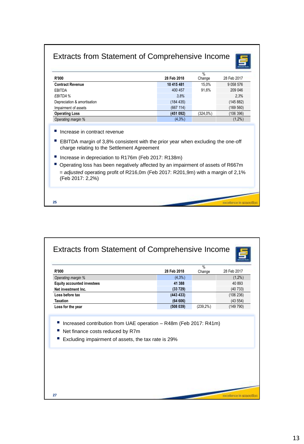#### Extracts from Statement of Comprehensive Income



- Increase in contract revenue
- EBITDA margin of 3,8% consistent with the prior year when excluding the one-off charge relating to the Settlement Agreement

*Operating margin %* (4,3%) (1,2%)

- Increase in depreciation to R176m (Feb 2017: R138m)
- Operating loss has been negatively affected by an impairment of assets of R667m = *adjusted* operating profit of R216,0m (Feb 2017: R201,9m) with a margin of 2,1% (Feb 2017: 2,2%)

excellence in squared.

**25**

|                                                                                         |           | Change       | 28 Feb 2017 |
|-----------------------------------------------------------------------------------------|-----------|--------------|-------------|
| Operating margin %                                                                      | $(4,3\%)$ |              | $(1,2\%)$   |
| <b>Equity accounted investees</b>                                                       | 41 388    |              | 40 893      |
| Net investment Inc.                                                                     | (33729)   |              | (40733)     |
| Loss before tax                                                                         | (443 433) |              | (106 236)   |
| <b>Taxation</b>                                                                         | (64606)   |              | (43554)     |
| Loss for the year                                                                       | (508039)  | $(239, 2\%)$ | (149790)    |
| Net finance costs reduced by R7m<br>Excluding impairment of assets, the tax rate is 29% |           |              |             |
|                                                                                         |           |              |             |
|                                                                                         |           |              |             |
|                                                                                         |           |              |             |
|                                                                                         |           |              |             |
|                                                                                         |           |              |             |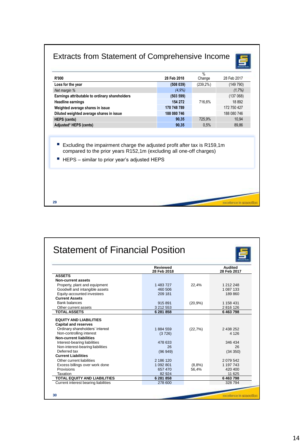# Extracts from Statement of Comprehensive Income

| $(239, 2\%)$<br>(508039)<br>Loss for the year<br>Net margin %<br>(4,9%<br>(503 599)<br>154 272<br>716,6%<br>170 748 789<br>188 080 746<br>725,9%<br>90,35<br>90,35<br>0.5%<br>Excluding the impairment charge the adjusted profit after tax is R159,1m<br>compared to the prior years R152.1m (excluding all one-off charges) | <b>R'000</b> | 28 Feb 2018 | $\frac{0}{0}$<br>Change | 28 Feb 2017 |
|-------------------------------------------------------------------------------------------------------------------------------------------------------------------------------------------------------------------------------------------------------------------------------------------------------------------------------|--------------|-------------|-------------------------|-------------|
|                                                                                                                                                                                                                                                                                                                               |              |             |                         | (149790)    |
| Earnings attributable to ordinary shareholders<br>Weighted average shares in issue<br>Diluted weighted average shares in issue<br><b>HEPS (cents)</b>                                                                                                                                                                         |              |             |                         | (1,7%)      |
| <b>Headline earnings</b><br>Adjusted* HEPS (cents)                                                                                                                                                                                                                                                                            |              |             |                         | (137068)    |
|                                                                                                                                                                                                                                                                                                                               |              |             |                         | 18892       |
|                                                                                                                                                                                                                                                                                                                               |              |             |                         | 172 750 427 |
|                                                                                                                                                                                                                                                                                                                               |              |             |                         | 188 080 746 |
|                                                                                                                                                                                                                                                                                                                               |              |             |                         | 10,94       |
|                                                                                                                                                                                                                                                                                                                               |              |             |                         | 89,86       |
| HEPS - similar to prior year's adjusted HEPS                                                                                                                                                                                                                                                                                  |              |             |                         |             |

|                                      | Reviewed<br>28 Feb 2018 |         | <b>Audited</b><br>28 Feb 2017 |
|--------------------------------------|-------------------------|---------|-------------------------------|
| <b>ASSETS</b>                        |                         |         |                               |
| Non-current assets                   |                         |         |                               |
| Property, plant and equipment        | 1 483 727               | 22,4%   | 1 212 248                     |
| Goodwill and intangible assets       | 460 506                 |         | 1 087 133                     |
| Equity-accounted investees           | 209 181                 |         | 189860                        |
| <b>Current Assets</b>                |                         |         |                               |
| <b>Bank balances</b>                 | 915891                  | (20,9%  | 1 158 431                     |
| Other current assets                 | 3 212 553               |         | 2816126                       |
| <b>TOTAL ASSETS</b>                  | 6 281 858               |         | 6463798                       |
| <b>EQUITY AND LIABILITIES</b>        |                         |         |                               |
| <b>Capital and reserves</b>          |                         |         |                               |
| Ordinary shareholders' interest      | 1884 559                | (22,7%) | 2 438 252                     |
| Non-controlling interest             |                         |         | 4 1 2 6                       |
| <b>Non-current liabilities</b>       | (3726)                  |         |                               |
| Interest-bearing liabilities         | 478 633                 |         | 346 434                       |
| Non-interest-bearing liabilities     | 26                      |         | 26                            |
| Deferred tax                         | (96949)                 |         | (34 350)                      |
| <b>Current Liabilities</b>           |                         |         |                               |
| Other current liabilities            | 2 186 120               |         | 2 079 542                     |
| Excess billings over work done       | 1 092 801               | (8,8%   | 1 197 743                     |
| Provisions                           | 657 470                 | 56,4%   | 420 400                       |
| Taxation                             | 82 924                  |         | 11 625                        |
| <b>TOTAL EQUITY AND LIABILITIES</b>  | 6 281 858               |         | 6463798                       |
| Current interest bearing liabilities | 278 600                 |         | 328 794                       |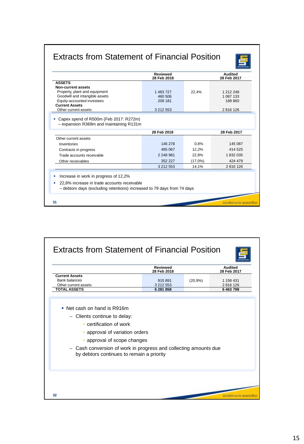### Extracts from Statement of Financial Position



|                                                                                                                                                                      | <b>Reviewed</b><br>28 Feb 2018 |         | Audited<br>28 Feb 2017 |
|----------------------------------------------------------------------------------------------------------------------------------------------------------------------|--------------------------------|---------|------------------------|
| <b>ASSETS</b>                                                                                                                                                        |                                |         |                        |
| Non-current assets                                                                                                                                                   |                                |         |                        |
| Property, plant and equipment                                                                                                                                        | 1 483 727                      | 22.4%   | 1 212 248              |
| Goodwill and intangible assets                                                                                                                                       | 460 506                        |         | 1 087 133              |
| Equity-accounted investees                                                                                                                                           | 209 181                        |         | 189860                 |
| <b>Current Assets</b>                                                                                                                                                |                                |         |                        |
| Other current assets                                                                                                                                                 | 3 212 553                      |         | 2816126                |
| Capex spend of R500m (Feb 2017: R272m)<br>- expansion R369m and maintaining R131m                                                                                    |                                |         |                        |
|                                                                                                                                                                      | 28 Feb 2018                    |         | 28 Feb 2017            |
| Other current assets                                                                                                                                                 |                                |         |                        |
| Inventories                                                                                                                                                          | 146 278                        | 0.8%    | 145 087                |
| Contracts in progress                                                                                                                                                | 465 067                        | 12,2%   | 414 525                |
| Trade accounts receivable                                                                                                                                            | 2 248 981                      | 22,8%   | 1 832 035              |
| Other receivables                                                                                                                                                    | 352 227                        | (17,0%) | 424 479                |
|                                                                                                                                                                      | 3 212 553                      | 14.1%   | 2816126                |
| Increase in work in progress of 12,2%<br>٠<br>22,8% increase in trade accounts receivable<br>- debtors days (excluding retentions) increased to 79 days from 74 days |                                |         |                        |
|                                                                                                                                                                      |                                |         |                        |
| 31                                                                                                                                                                   |                                |         |                        |
|                                                                                                                                                                      |                                |         |                        |

|                                                                                                                                                                              | <b>Reviewed</b><br>28 Feb 2018 |         | <b>Audited</b><br>28 Feb 2017 |
|------------------------------------------------------------------------------------------------------------------------------------------------------------------------------|--------------------------------|---------|-------------------------------|
| <b>Current Assets</b><br><b>Bank balances</b>                                                                                                                                | 915891                         | (20,9%) | 1 158 431                     |
| Other current assets<br><b>TOTAL ASSETS</b>                                                                                                                                  | 3 212 553<br>6 281 858         |         | 2 816 126<br>6463798          |
| • approval of variation orders<br>approval of scope changes<br>- Cash conversion of work in progress and collecting amounts due<br>by debtors continues to remain a priority |                                |         |                               |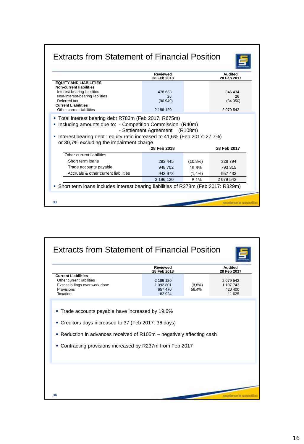|                                                                                                                                                                                     | <b>Reviewed</b><br>28 Feb 2018        |            | Audited<br>28 Feb 2017                 |
|-------------------------------------------------------------------------------------------------------------------------------------------------------------------------------------|---------------------------------------|------------|----------------------------------------|
| <b>EQUITY AND LIABILITIES</b><br><b>Non-current liabilities</b><br>Interest-bearing liabilities<br>Non-interest-bearing liabilities<br>Deferred tax<br><b>Current Liabilities</b>   | 478 633<br>26<br>(96949)<br>2 186 120 |            | 346 434<br>26<br>(34 350)<br>2 079 542 |
| Other current liabilities<br>■ Total interest bearing debt R783m (Feb 2017: R675m)                                                                                                  |                                       |            |                                        |
| • Including amounts due to: - Competition Commission (R40m)<br>Interest bearing debt: equity ratio increased to 41,6% (Feb 2017: 27,7%)<br>or 30,7% excluding the impairment charge | - Settlement Agreement (R108m)        |            |                                        |
|                                                                                                                                                                                     | 28 Feb 2018                           |            | 28 Feb 2017                            |
| Other current liabilities                                                                                                                                                           |                                       |            |                                        |
| Short term loans                                                                                                                                                                    | 293 445                               | $(10,8\%)$ | 328 794                                |
| Trade accounts payable                                                                                                                                                              | 948 702                               | 19,6%      | 793 315                                |
| Accruals & other current liabilities                                                                                                                                                | 943 973                               | (1,4%      | 957 433                                |

|                                                                                                                                                                                            | <b>Reviewed</b><br>28 Feb 2018              |                | <b>Audited</b><br>28 Feb 2017             |
|--------------------------------------------------------------------------------------------------------------------------------------------------------------------------------------------|---------------------------------------------|----------------|-------------------------------------------|
| <b>Current Liabilities</b><br>Other current liabilities<br>Excess billings over work done<br>Provisions<br>Taxation                                                                        | 2 186 120<br>1 092 801<br>657 470<br>82 924 | (8,8%<br>56,4% | 2079542<br>1 197 743<br>420 400<br>11 625 |
| • Creditors days increased to 37 (Feb 2017: 36 days)<br>• Reduction in advances received of R105m – negatively affecting cash<br>• Contracting provisions increased by R237m from Feb 2017 |                                             |                |                                           |
|                                                                                                                                                                                            |                                             |                |                                           |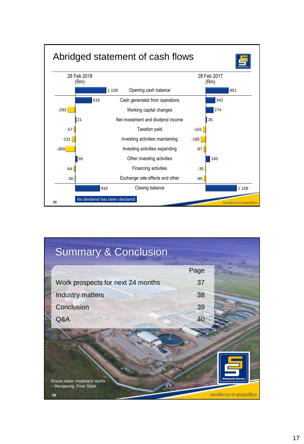

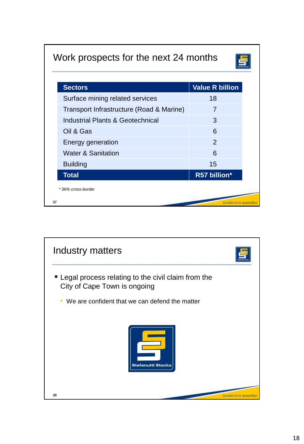# Work prospects for the next 24 months



| 18<br>7<br>3<br>6<br>$\mathcal{P}$ |
|------------------------------------|
|                                    |
|                                    |
|                                    |
|                                    |
|                                    |
| 6                                  |
| 15                                 |
| R57 billion*                       |
|                                    |
|                                    |

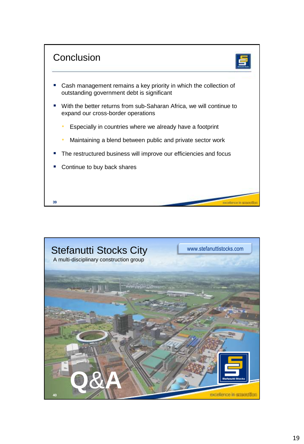